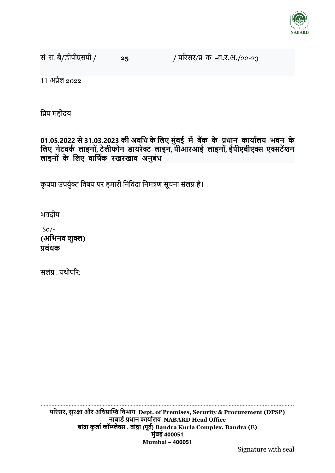

सं. रा. बै**/**डीपीएसपी **/ 25 /** पररसर/प्र. क. **–**व**.**र**.**अ**./**22-23

11 अप्रैल 2022

प्रप्रय महोदय

# **01.05.2022 से 31.03.2023 की अिधि के धलए मुांबई मेंबैंक के प्रिान कार्ाडलर् भिन के धलए नेटिकड लाइन ां, टेलीफ न र्ार्िेक्ट लाइन, पीआिआई लाइन ां, ईपीएबीएक्स एक्सटेंशन लाइन ां के धलए िाधषडक िखिखाि अनुबांि**

कृपया उपर्युक्त विषय पर हमारी निविदा निमंत्रण सूचना संलग्न है।

भवदीय

Sd/- **(अधभनि शुक्ल) प्रबांिक** 

सलंग्र यथोपरि $\cdot$ 

………………………………………………………………………………………………………………………………………………. **परिसि, सुिक्षा औि अधिप्राप्ति धिभाग Dept. of Premises, Security & Procurement (DPSP) नाबार्ड प्रिान कार्ाडलर् NABARD Head Office बाांद्रा कु लाड कॉम्प्लेक्स , बाांद्रा (पूिड) Bandra Kurla Complex, Bandra (E) मुांबई 400051 Mumbai – 400051**

Signature with seal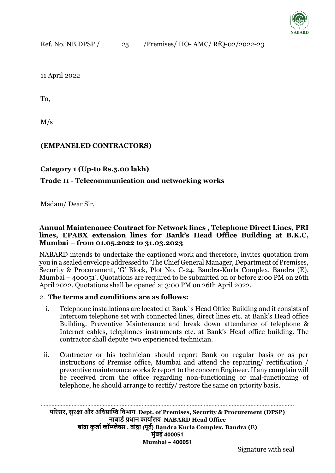

11 April 2022

To,

 $M/s$   $\overline{\phantom{a}}$ 

## **(EMPANELED CONTRACTORS)**

**Category 1 (Up-to Rs.5.00 lakh)**

### **Trade 11 - Telecommunication and networking works**

Madam/ Dear Sir,

#### **Annual Maintenance Contract for Network lines , Telephone Direct Lines, PRI lines, EPABX extension lines for Bank's Head Office Building at B.K.C, Mumbai – from 01.05.2022 to 31.03.2023**

NABARD intends to undertake the captioned work and therefore, invites quotation from you in a sealed envelope addressed to 'The Chief General Manager, Department of Premises, Security & Procurement, 'G' Block, Plot No. C-24, Bandra-Kurla Complex, Bandra (E), Mumbai – 400051'. Quotations are required to be submitted on or before 2:00 PM on 26th April 2022. Quotations shall be opened at 3:00 PM on 26th April 2022.

#### 2. **The terms and conditions are as follows:**

- i. Telephone installations are located at Bank`s Head Office Building and it consists of Intercom telephone set with connected lines, direct lines etc. at Bank's Head office Building. Preventive Maintenance and break down attendance of telephone & Internet cables, telephones instruments etc. at Bank's Head office building. The contractor shall depute two experienced technician.
- ii. Contractor or his technician should report Bank on regular basis or as per instructions of Premise office, Mumbai and attend the repairing/ rectification / preventive maintenance works & report to the concern Engineer. If any complain will be received from the office regarding non-functioning or mal-functioning of telephone, he should arrange to rectify/ restore the same on priority basis.

………………………………………………………………………………………………………………………………………………. **परिसि, सुिक्षा औि अधिप्राप्ति धिभाग Dept. of Premises, Security & Procurement (DPSP) नाबार्ड प्रिान कार्ाडलर् NABARD Head Office बाांद्रा कु लाड कॉम्प्लेक्स , बाांद्रा (पूिड) Bandra Kurla Complex, Bandra (E) मुांबई 400051 Mumbai – 400051**

Signature with seal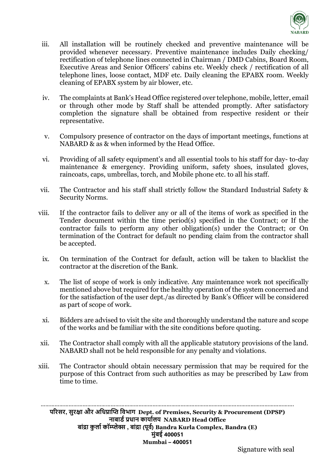

- iii. All installation will be routinely checked and preventive maintenance will be provided whenever necessary. Preventive maintenance includes Daily checking/ rectification of telephone lines connected in Chairman / DMD Cabins, Board Room, Executive Areas and Senior Officers' cabins etc. Weekly check / rectification of all telephone lines, loose contact, MDF etc. Daily cleaning the EPABX room. Weekly cleaning of EPABX system by air blower, etc.
- iv. The complaints at Bank's Head Office registered over telephone, mobile, letter, email or through other mode by Staff shall be attended promptly. After satisfactory completion the signature shall be obtained from respective resident or their representative.
- v. Compulsory presence of contractor on the days of important meetings, functions at NABARD & as & when informed by the Head Office.
- vi. Providing of all safety equipment's and all essential tools to his staff for day- to-day maintenance & emergency. Providing uniform, safety shoes, insulated gloves, raincoats, caps, umbrellas, torch, and Mobile phone etc. to all his staff.
- vii. The Contractor and his staff shall strictly follow the Standard Industrial Safety & Security Norms.
- viii. If the contractor fails to deliver any or all of the items of work as specified in the Tender document within the time period(s) specified in the Contract; or If the contractor fails to perform any other obligation(s) under the Contract; or On termination of the Contract for default no pending claim from the contractor shall be accepted.
	- ix. On termination of the Contract for default, action will be taken to blacklist the contractor at the discretion of the Bank.
	- x. The list of scope of work is only indicative. Any maintenance work not specifically mentioned above but required for the healthy operation of the system concerned and for the satisfaction of the user dept./as directed by Bank's Officer will be considered as part of scope of work.
	- xi. Bidders are advised to visit the site and thoroughly understand the nature and scope of the works and be familiar with the site conditions before quoting.
- xii. The Contractor shall comply with all the applicable statutory provisions of the land. NABARD shall not be held responsible for any penalty and violations.
- xiii. The Contractor should obtain necessary permission that may be required for the purpose of this Contract from such authorities as may be prescribed by Law from time to time.

………………………………………………………………………………………………………………………………………………. **परिसि, सुिक्षा औि अधिप्राप्ति धिभाग Dept. of Premises, Security & Procurement (DPSP) नाबार्ड प्रिान कार्ाडलर् NABARD Head Office बाांद्रा कु लाड कॉम्प्लेक्स , बाांद्रा (पूिड) Bandra Kurla Complex, Bandra (E) मुांबई 400051 Mumbai – 400051**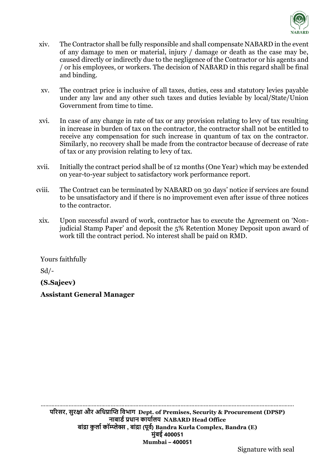

- xiv. The Contractor shall be fully responsible and shall compensate NABARD in the event of any damage to men or material, injury / damage or death as the case may be, caused directly or indirectly due to the negligence of the Contractor or his agents and / or his employees, or workers. The decision of NABARD in this regard shall be final and binding.
- xv. The contract price is inclusive of all taxes, duties, cess and statutory levies payable under any law and any other such taxes and duties leviable by local/State/Union Government from time to time.
- xvi. In case of any change in rate of tax or any provision relating to levy of tax resulting in increase in burden of tax on the contractor, the contractor shall not be entitled to receive any compensation for such increase in quantum of tax on the contractor. Similarly, no recovery shall be made from the contractor because of decrease of rate of tax or any provision relating to levy of tax.
- xvii. Initially the contract period shall be of 12 months (One Year) which may be extended on year-to-year subject to satisfactory work performance report.
- xviii. The Contract can be terminated by NABARD on 30 days' notice if services are found to be unsatisfactory and if there is no improvement even after issue of three notices to the contractor.
- xix. Upon successful award of work, contractor has to execute the Agreement on 'Nonjudicial Stamp Paper' and deposit the 5% Retention Money Deposit upon award of work till the contract period. No interest shall be paid on RMD.

Yours faithfully

 $Sd$  /-

**(S.Sajeev)**

**Assistant General Manager**

………………………………………………………………………………………………………………………………………………. **परिसि, सुिक्षा औि अधिप्राप्ति धिभाग Dept. of Premises, Security & Procurement (DPSP) नाबार्ड प्रिान कार्ाडलर् NABARD Head Office बाांद्रा कु लाड कॉम्प्लेक्स , बाांद्रा (पूिड) Bandra Kurla Complex, Bandra (E) मुांबई 400051 Mumbai – 400051**